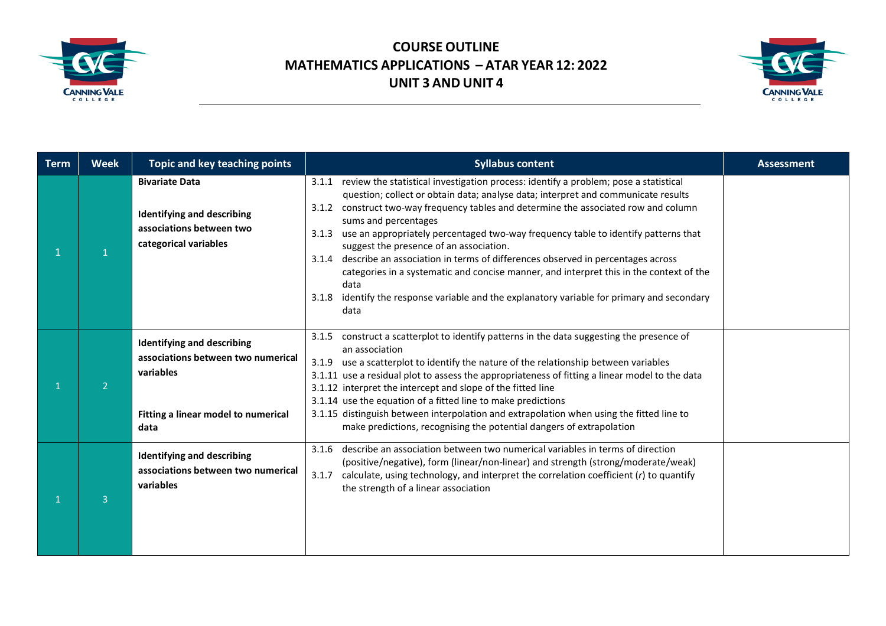



| <b>Term</b> | <b>Week</b>    | Topic and key teaching points                                                                                                       | <b>Syllabus content</b>                                                                                                                                                                                                                                                                                                                                                                                                                                                                                                                                                                                                                                                                                                                              | <b>Assessment</b> |
|-------------|----------------|-------------------------------------------------------------------------------------------------------------------------------------|------------------------------------------------------------------------------------------------------------------------------------------------------------------------------------------------------------------------------------------------------------------------------------------------------------------------------------------------------------------------------------------------------------------------------------------------------------------------------------------------------------------------------------------------------------------------------------------------------------------------------------------------------------------------------------------------------------------------------------------------------|-------------------|
|             |                | <b>Bivariate Data</b><br><b>Identifying and describing</b><br>associations between two<br>categorical variables                     | review the statistical investigation process: identify a problem; pose a statistical<br>3.1.1<br>question; collect or obtain data; analyse data; interpret and communicate results<br>construct two-way frequency tables and determine the associated row and column<br>3.1.2<br>sums and percentages<br>use an appropriately percentaged two-way frequency table to identify patterns that<br>3.1.3<br>suggest the presence of an association.<br>3.1.4 describe an association in terms of differences observed in percentages across<br>categories in a systematic and concise manner, and interpret this in the context of the<br>data<br>identify the response variable and the explanatory variable for primary and secondary<br>3.1.8<br>data |                   |
|             | $\overline{2}$ | <b>Identifying and describing</b><br>associations between two numerical<br>variables<br>Fitting a linear model to numerical<br>data | construct a scatterplot to identify patterns in the data suggesting the presence of<br>3.1.5<br>an association<br>use a scatterplot to identify the nature of the relationship between variables<br>3.1.9<br>3.1.11 use a residual plot to assess the appropriateness of fitting a linear model to the data<br>3.1.12 interpret the intercept and slope of the fitted line<br>3.1.14 use the equation of a fitted line to make predictions<br>3.1.15 distinguish between interpolation and extrapolation when using the fitted line to<br>make predictions, recognising the potential dangers of extrapolation                                                                                                                                       |                   |
|             | $\overline{3}$ | <b>Identifying and describing</b><br>associations between two numerical<br>variables                                                | describe an association between two numerical variables in terms of direction<br>3.1.6<br>(positive/negative), form (linear/non-linear) and strength (strong/moderate/weak)<br>3.1.7<br>calculate, using technology, and interpret the correlation coefficient $(r)$ to quantify<br>the strength of a linear association                                                                                                                                                                                                                                                                                                                                                                                                                             |                   |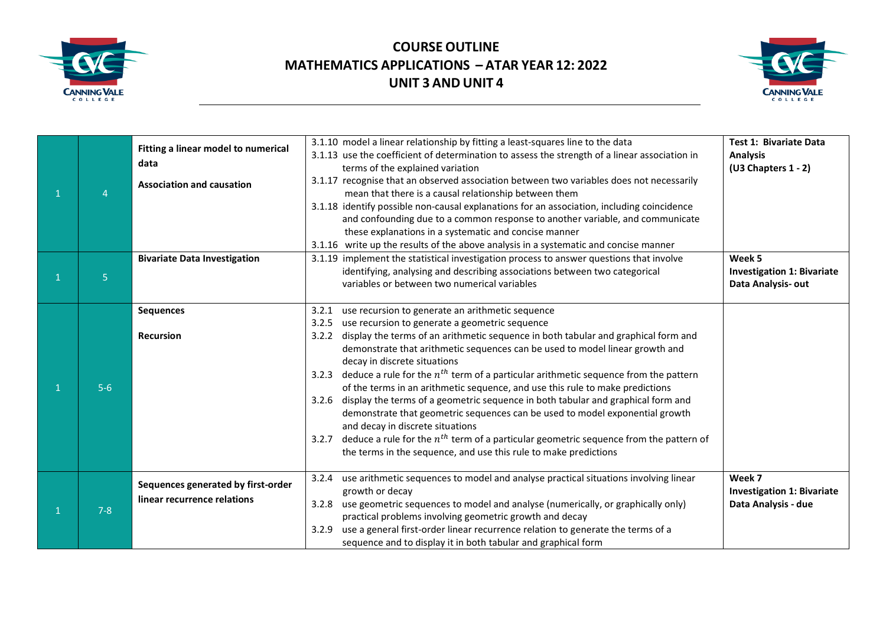



|         | Fitting a linear model to numerical<br>data<br><b>Association and causation</b> | 3.1.10 model a linear relationship by fitting a least-squares line to the data<br>3.1.13 use the coefficient of determination to assess the strength of a linear association in<br>terms of the explained variation<br>3.1.17 recognise that an observed association between two variables does not necessarily<br>mean that there is a causal relationship between them<br>3.1.18 identify possible non-causal explanations for an association, including coincidence<br>and confounding due to a common response to another variable, and communicate<br>these explanations in a systematic and concise manner<br>3.1.16 write up the results of the above analysis in a systematic and concise manner                                                                                                                                                                                                           | Test 1: Bivariate Data<br><b>Analysis</b><br>(U3 Chapters 1 - 2)   |
|---------|---------------------------------------------------------------------------------|--------------------------------------------------------------------------------------------------------------------------------------------------------------------------------------------------------------------------------------------------------------------------------------------------------------------------------------------------------------------------------------------------------------------------------------------------------------------------------------------------------------------------------------------------------------------------------------------------------------------------------------------------------------------------------------------------------------------------------------------------------------------------------------------------------------------------------------------------------------------------------------------------------------------|--------------------------------------------------------------------|
| 5       | <b>Bivariate Data Investigation</b>                                             | 3.1.19 implement the statistical investigation process to answer questions that involve<br>identifying, analysing and describing associations between two categorical<br>variables or between two numerical variables                                                                                                                                                                                                                                                                                                                                                                                                                                                                                                                                                                                                                                                                                              | Week 5<br><b>Investigation 1: Bivariate</b><br>Data Analysis-out   |
| $5-6$   | <b>Sequences</b><br><b>Recursion</b>                                            | use recursion to generate an arithmetic sequence<br>3.2.1<br>3.2.5<br>use recursion to generate a geometric sequence<br>display the terms of an arithmetic sequence in both tabular and graphical form and<br>3.2.2<br>demonstrate that arithmetic sequences can be used to model linear growth and<br>decay in discrete situations<br>deduce a rule for the $n^{th}$ term of a particular arithmetic sequence from the pattern<br>3.2.3<br>of the terms in an arithmetic sequence, and use this rule to make predictions<br>3.2.6 display the terms of a geometric sequence in both tabular and graphical form and<br>demonstrate that geometric sequences can be used to model exponential growth<br>and decay in discrete situations<br>deduce a rule for the $n^{th}$ term of a particular geometric sequence from the pattern of<br>3.2.7<br>the terms in the sequence, and use this rule to make predictions |                                                                    |
| $7 - 8$ | Sequences generated by first-order<br>linear recurrence relations               | use arithmetic sequences to model and analyse practical situations involving linear<br>3.2.4<br>growth or decay<br>use geometric sequences to model and analyse (numerically, or graphically only)<br>3.2.8<br>practical problems involving geometric growth and decay<br>use a general first-order linear recurrence relation to generate the terms of a<br>3.2.9<br>sequence and to display it in both tabular and graphical form                                                                                                                                                                                                                                                                                                                                                                                                                                                                                | Week 7<br><b>Investigation 1: Bivariate</b><br>Data Analysis - due |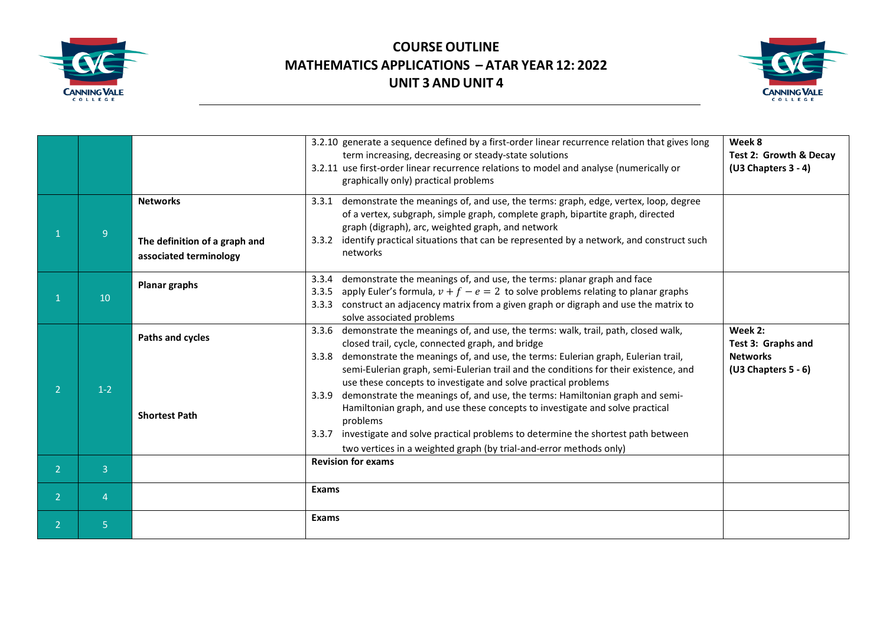



|                |                |                                                                            | 3.2.10 generate a sequence defined by a first-order linear recurrence relation that gives long<br>term increasing, decreasing or steady-state solutions<br>3.2.11 use first-order linear recurrence relations to model and analyse (numerically or<br>graphically only) practical problems                                                                                                           | Week 8<br><b>Test 2: Growth &amp; Decav</b><br>(U3 Chapters 3 - 4)        |
|----------------|----------------|----------------------------------------------------------------------------|------------------------------------------------------------------------------------------------------------------------------------------------------------------------------------------------------------------------------------------------------------------------------------------------------------------------------------------------------------------------------------------------------|---------------------------------------------------------------------------|
|                | 9              | <b>Networks</b><br>The definition of a graph and<br>associated terminology | demonstrate the meanings of, and use, the terms: graph, edge, vertex, loop, degree<br>3.3.1<br>of a vertex, subgraph, simple graph, complete graph, bipartite graph, directed<br>graph (digraph), arc, weighted graph, and network<br>identify practical situations that can be represented by a network, and construct such<br>3.3.2<br>networks                                                    |                                                                           |
|                | 10             | <b>Planar graphs</b>                                                       | demonstrate the meanings of, and use, the terms: planar graph and face<br>3.3.4<br>apply Euler's formula, $v + f - e = 2$ to solve problems relating to planar graphs<br>3.3.5<br>construct an adjacency matrix from a given graph or digraph and use the matrix to<br>3.3.3<br>solve associated problems                                                                                            |                                                                           |
|                | $1-2$          | Paths and cycles                                                           | demonstrate the meanings of, and use, the terms: walk, trail, path, closed walk,<br>3.3.6<br>closed trail, cycle, connected graph, and bridge<br>demonstrate the meanings of, and use, the terms: Eulerian graph, Eulerian trail,<br>3.3.8<br>semi-Eulerian graph, semi-Eulerian trail and the conditions for their existence, and<br>use these concepts to investigate and solve practical problems | Week 2:<br>Test 3: Graphs and<br><b>Networks</b><br>$(U3 Chapters 5 - 6)$ |
|                |                | <b>Shortest Path</b>                                                       | demonstrate the meanings of, and use, the terms: Hamiltonian graph and semi-<br>3.3.9<br>Hamiltonian graph, and use these concepts to investigate and solve practical<br>problems<br>investigate and solve practical problems to determine the shortest path between<br>3.3.7<br>two vertices in a weighted graph (by trial-and-error methods only)                                                  |                                                                           |
| 2              | 3              |                                                                            | <b>Revision for exams</b>                                                                                                                                                                                                                                                                                                                                                                            |                                                                           |
| $\overline{2}$ | $\overline{4}$ |                                                                            | Exams                                                                                                                                                                                                                                                                                                                                                                                                |                                                                           |
| $\overline{2}$ | 5              |                                                                            | <b>Exams</b>                                                                                                                                                                                                                                                                                                                                                                                         |                                                                           |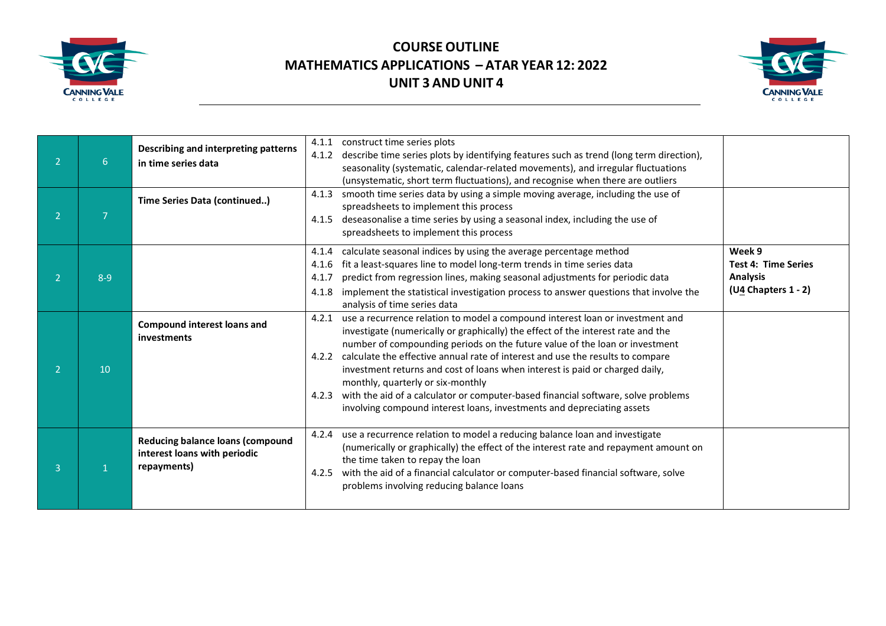



|              | 6       | Describing and interpreting patterns<br>in time series data<br>Time Series Data (continued) | construct time series plots<br>4.1.1<br>describe time series plots by identifying features such as trend (long term direction),<br>4.1.2<br>seasonality (systematic, calendar-related movements), and irregular fluctuations<br>(unsystematic, short term fluctuations), and recognise when there are outliers<br>smooth time series data by using a simple moving average, including the use of<br>4.1.3<br>spreadsheets to implement this process<br>deseasonalise a time series by using a seasonal index, including the use of<br>4.1.5<br>spreadsheets to implement this process                                                             |                                                                                |
|--------------|---------|---------------------------------------------------------------------------------------------|---------------------------------------------------------------------------------------------------------------------------------------------------------------------------------------------------------------------------------------------------------------------------------------------------------------------------------------------------------------------------------------------------------------------------------------------------------------------------------------------------------------------------------------------------------------------------------------------------------------------------------------------------|--------------------------------------------------------------------------------|
|              | $8 - 9$ |                                                                                             | calculate seasonal indices by using the average percentage method<br>4.1.4<br>fit a least-squares line to model long-term trends in time series data<br>4.1.6<br>predict from regression lines, making seasonal adjustments for periodic data<br>4.1.7<br>implement the statistical investigation process to answer questions that involve the<br>4.1.8<br>analysis of time series data                                                                                                                                                                                                                                                           | Week 9<br><b>Test 4: Time Series</b><br><b>Analysis</b><br>(U4 Chapters 1 - 2) |
|              | 10      | <b>Compound interest loans and</b><br>investments                                           | use a recurrence relation to model a compound interest loan or investment and<br>4.2.1<br>investigate (numerically or graphically) the effect of the interest rate and the<br>number of compounding periods on the future value of the loan or investment<br>calculate the effective annual rate of interest and use the results to compare<br>4.2.2<br>investment returns and cost of loans when interest is paid or charged daily,<br>monthly, quarterly or six-monthly<br>with the aid of a calculator or computer-based financial software, solve problems<br>4.2.3<br>involving compound interest loans, investments and depreciating assets |                                                                                |
| $\mathbf{R}$ |         | <b>Reducing balance loans (compound</b><br>interest loans with periodic<br>repayments)      | use a recurrence relation to model a reducing balance loan and investigate<br>4.2.4<br>(numerically or graphically) the effect of the interest rate and repayment amount on<br>the time taken to repay the loan<br>with the aid of a financial calculator or computer-based financial software, solve<br>4.2.5<br>problems involving reducing balance loans                                                                                                                                                                                                                                                                                       |                                                                                |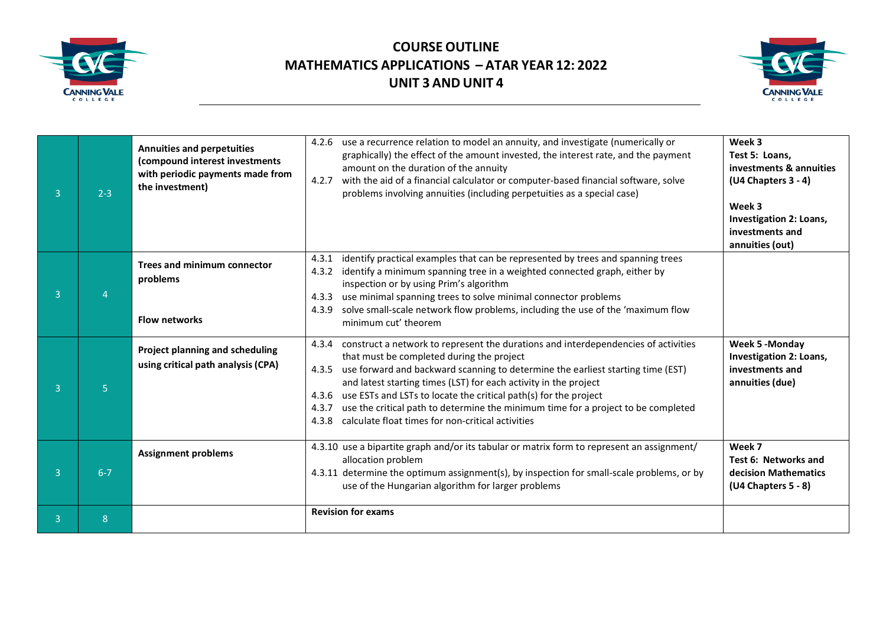



| € | $2 - 3$ | <b>Annuities and perpetuities</b><br>(compound interest investments<br>with periodic payments made from<br>the investment) | use a recurrence relation to model an annuity, and investigate (numerically or<br>4.2.6<br>graphically) the effect of the amount invested, the interest rate, and the payment<br>amount on the duration of the annuity<br>with the aid of a financial calculator or computer-based financial software, solve<br>4.2.7<br>problems involving annuities (including perpetuities as a special case)                                                                                                                                                  | Week 3<br>Test 5: Loans,<br>investments & annuities<br>$(U4$ Chapters 3 - 4)<br>Week 3<br>Investigation 2: Loans,<br>investments and<br>annuities (out) |
|---|---------|----------------------------------------------------------------------------------------------------------------------------|---------------------------------------------------------------------------------------------------------------------------------------------------------------------------------------------------------------------------------------------------------------------------------------------------------------------------------------------------------------------------------------------------------------------------------------------------------------------------------------------------------------------------------------------------|---------------------------------------------------------------------------------------------------------------------------------------------------------|
| € |         | <b>Trees and minimum connector</b><br>problems<br><b>Flow networks</b>                                                     | identify practical examples that can be represented by trees and spanning trees<br>4.3.1<br>identify a minimum spanning tree in a weighted connected graph, either by<br>4.3.2<br>inspection or by using Prim's algorithm<br>use minimal spanning trees to solve minimal connector problems<br>4.3.3<br>solve small-scale network flow problems, including the use of the 'maximum flow<br>4.3.9<br>minimum cut' theorem                                                                                                                          |                                                                                                                                                         |
| 3 | 5       | Project planning and scheduling<br>using critical path analysis (CPA)                                                      | construct a network to represent the durations and interdependencies of activities<br>4.3.4<br>that must be completed during the project<br>use forward and backward scanning to determine the earliest starting time (EST)<br>4.3.5<br>and latest starting times (LST) for each activity in the project<br>use ESTs and LSTs to locate the critical path(s) for the project<br>4.3.6<br>use the critical path to determine the minimum time for a project to be completed<br>4.3.7<br>calculate float times for non-critical activities<br>4.3.8 | Week 5 - Monday<br>Investigation 2: Loans,<br>investments and<br>annuities (due)                                                                        |
| 3 | $6 - 7$ | <b>Assignment problems</b>                                                                                                 | 4.3.10 use a bipartite graph and/or its tabular or matrix form to represent an assignment/<br>allocation problem<br>4.3.11 determine the optimum assignment(s), by inspection for small-scale problems, or by<br>use of the Hungarian algorithm for larger problems                                                                                                                                                                                                                                                                               | Week 7<br>Test 6: Networks and<br>decision Mathematics<br>(U4 Chapters 5 - 8)                                                                           |
| В | 8       |                                                                                                                            | <b>Revision for exams</b>                                                                                                                                                                                                                                                                                                                                                                                                                                                                                                                         |                                                                                                                                                         |